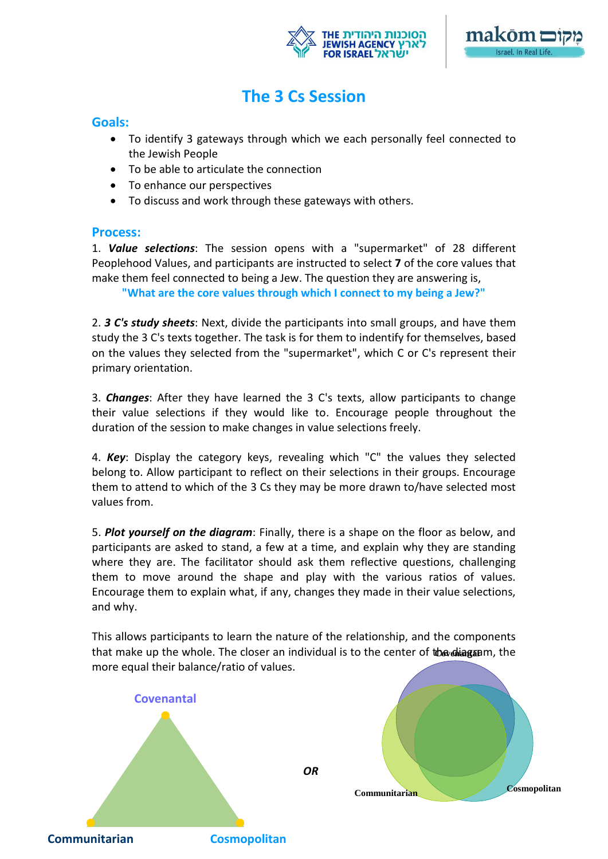



### **The 3 Cs Session**

### **Goals:**

- To identify 3 gateways through which we each personally feel connected to the Jewish People
- To be able to articulate the connection
- To enhance our perspectives
- To discuss and work through these gateways with others.

### **Process:**

1. *Value selections*: The session opens with a "supermarket" of 28 different Peoplehood Values, and participants are instructed to select **7** of the core values that make them feel connected to being a Jew. The question they are answering is,

**"What are the core values through which I connect to my being a Jew?"**

2. *3 C's study sheets*: Next, divide the participants into small groups, and have them study the 3 C's texts together. The task is for them to indentify for themselves, based on the values they selected from the "supermarket", which C or C's represent their primary orientation.

3. *Changes*: After they have learned the 3 C's texts, allow participants to change their value selections if they would like to. Encourage people throughout the duration of the session to make changes in value selections freely.

4. *Key*: Display the category keys, revealing which "C" the values they selected belong to. Allow participant to reflect on their selections in their groups. Encourage them to attend to which of the 3 Cs they may be more drawn to/have selected most values from.

5. *Plot yourself on the diagram*: Finally, there is a shape on the floor as below, and participants are asked to stand, a few at a time, and explain why they are standing where they are. The facilitator should ask them reflective questions, challenging them to move around the shape and play with the various ratios of values. Encourage them to explain what, if any, changes they made in their value selections, and why.

that make up the whole. The closer an individual is to the center of the diagram, the This allows participants to learn the nature of the relationship, and the components more equal their balance/ratio of values.

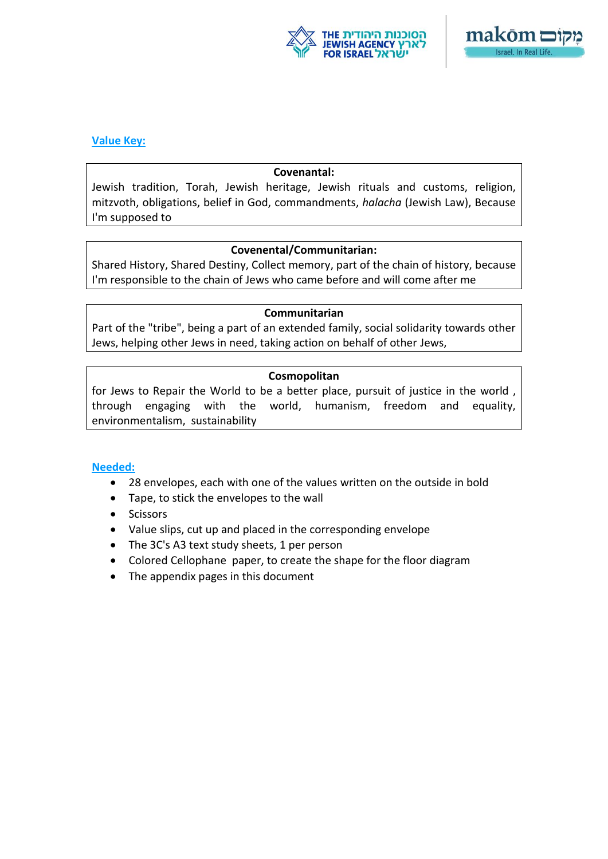



### **Value Key:**

#### **Covenantal:**

Jewish tradition, Torah, Jewish heritage, Jewish rituals and customs, religion, mitzvoth, obligations, belief in God, commandments, *halacha* (Jewish Law), Because I'm supposed to

### **Covenental/Communitarian:**

Shared History, Shared Destiny, Collect memory, part of the chain of history, because I'm responsible to the chain of Jews who came before and will come after me

#### **Communitarian**

Part of the "tribe", being a part of an extended family, social solidarity towards other Jews, helping other Jews in need, taking action on behalf of other Jews,

### **Cosmopolitan**

for Jews to Repair the World to be a better place, pursuit of justice in the world , through engaging with the world, humanism, freedom and equality, environmentalism, sustainability

### **Needed:**

- 28 envelopes, each with one of the values written on the outside in bold
- Tape, to stick the envelopes to the wall
- Scissors
- Value slips, cut up and placed in the corresponding envelope
- The 3C's A3 text study sheets, 1 per person
- Colored Cellophane paper, to create the shape for the floor diagram
- The appendix pages in this document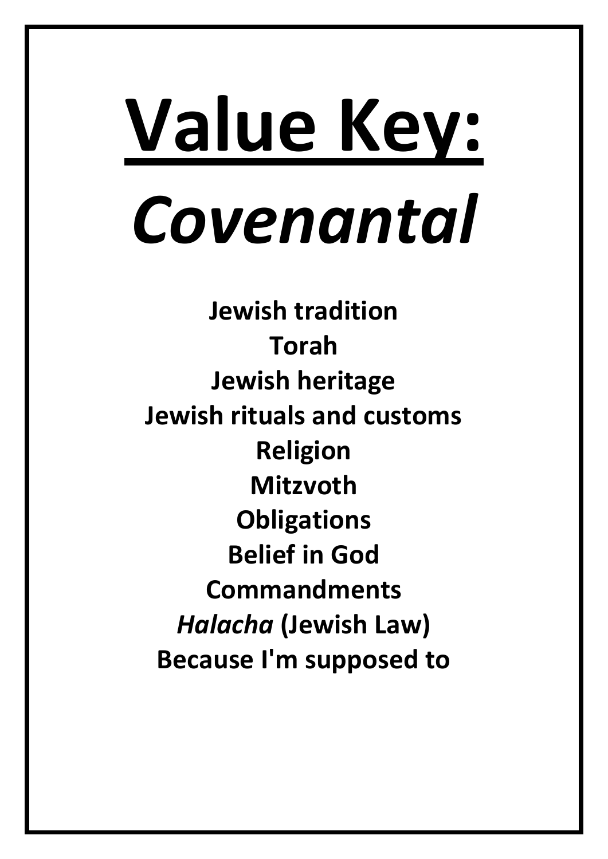# **Value Key:** *Covenantal*

**Jewish tradition Torah Jewish heritage Jewish rituals and customs Religion Mitzvoth Obligations Belief in God Commandments** *Halacha* **(Jewish Law) Because I'm supposed to**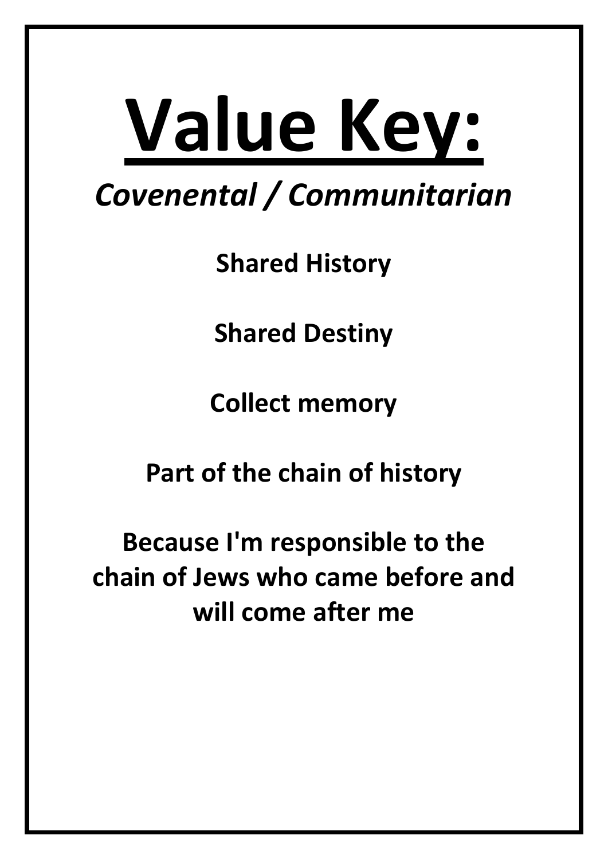# **Value Key:**

## *Covenental / Communitarian*

**Shared History**

**Shared Destiny**

**Collect memory**

**Part of the chain of history**

**Because I'm responsible to the chain of Jews who came before and will come after me**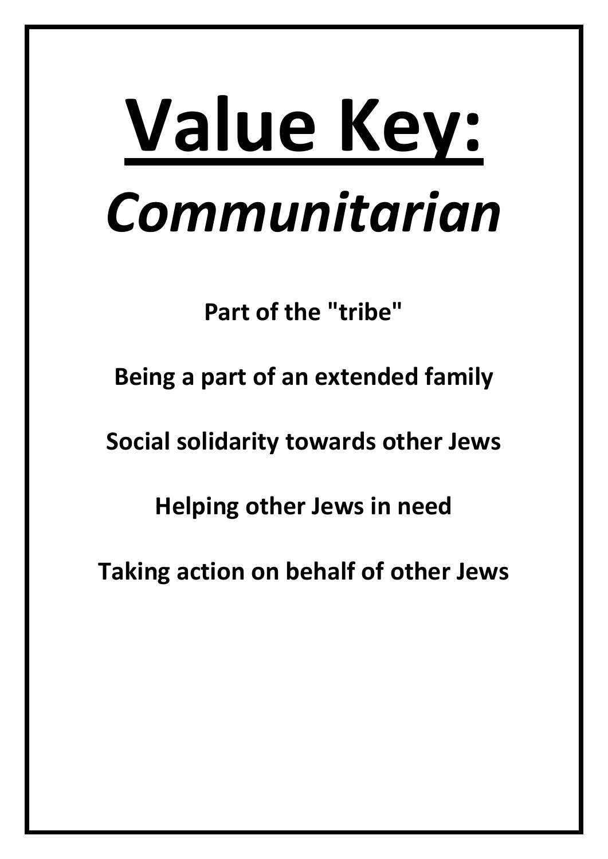## **Value Key:** *Communitarian*

**Part of the "tribe"**

**Being a part of an extended family**

**Social solidarity towards other Jews**

**Helping other Jews in need**

**Taking action on behalf of other Jews**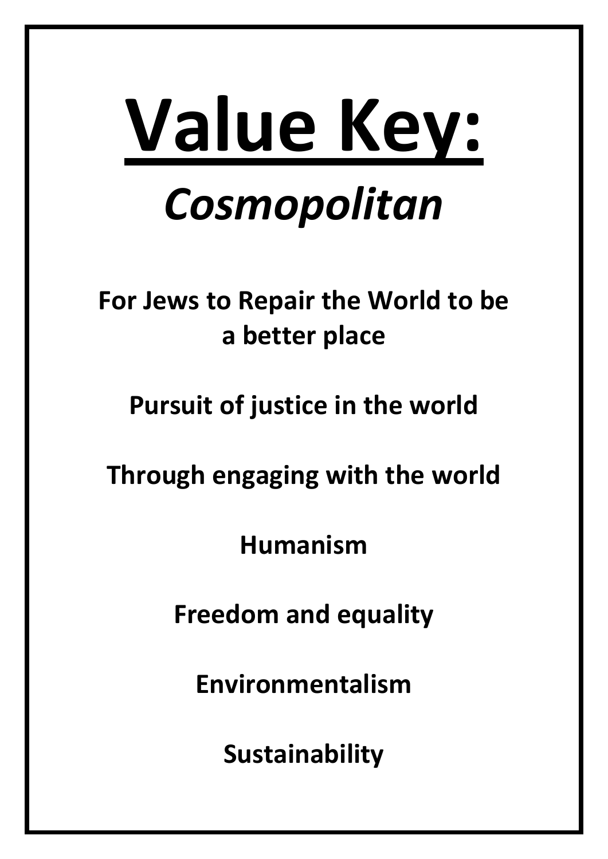## **Value Key:** *Cosmopolitan*

## **For Jews to Repair the World to be a better place**

### **Pursuit of justice in the world**

### **Through engaging with the world**

**Humanism**

**Freedom and equality**

**Environmentalism**

**Sustainability**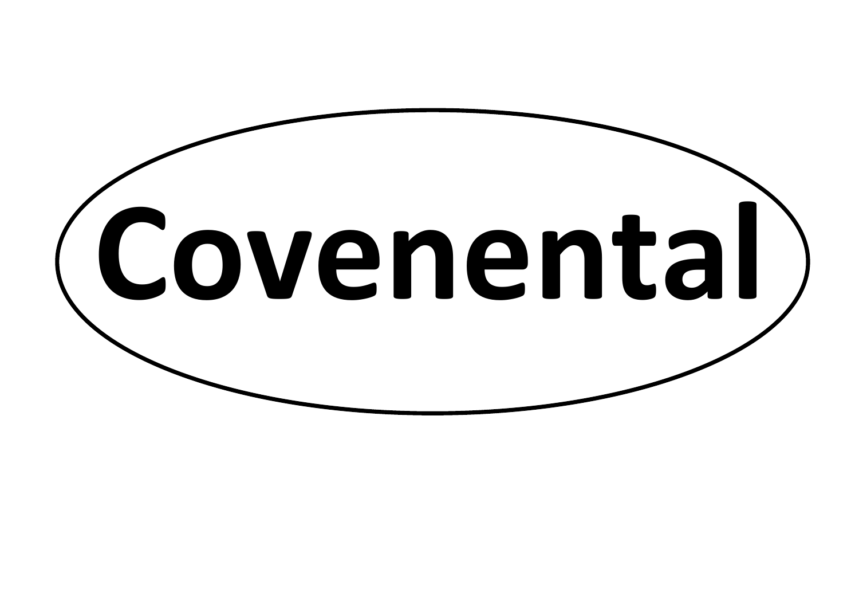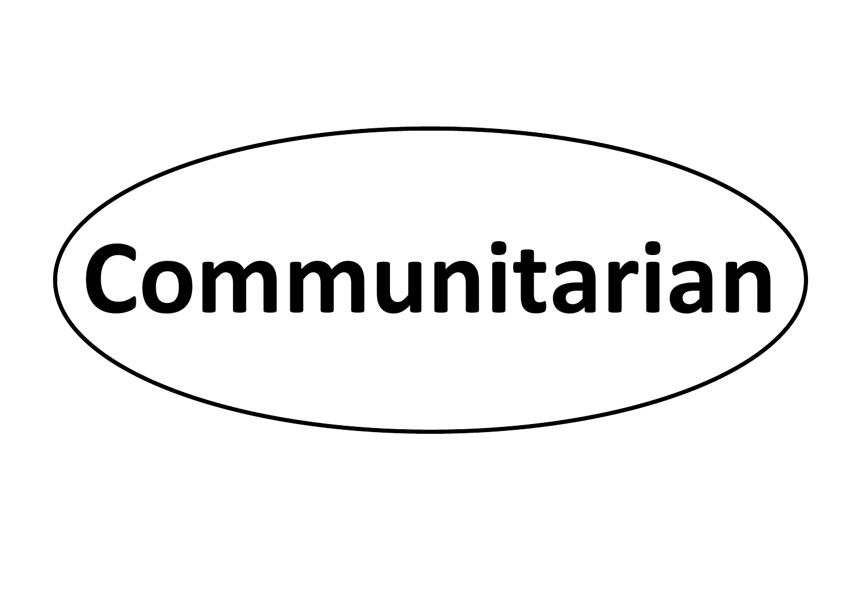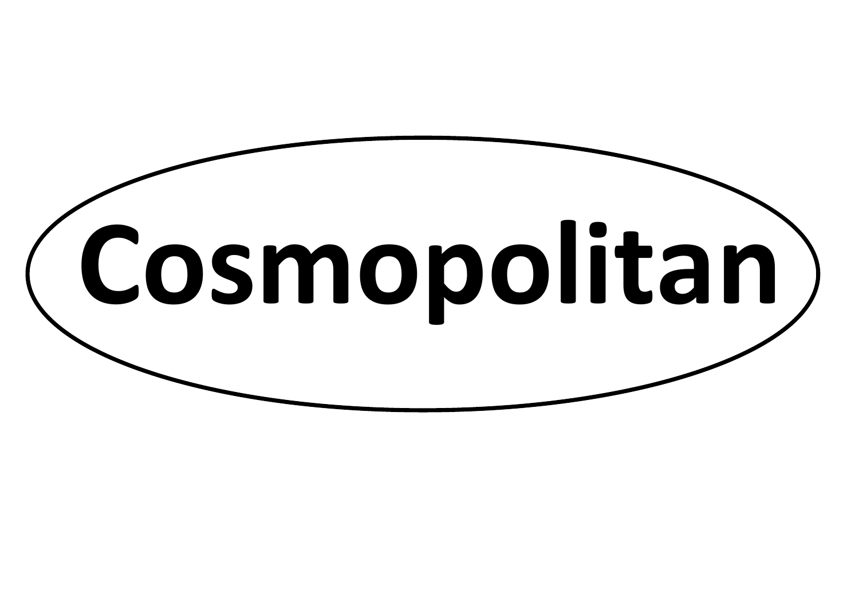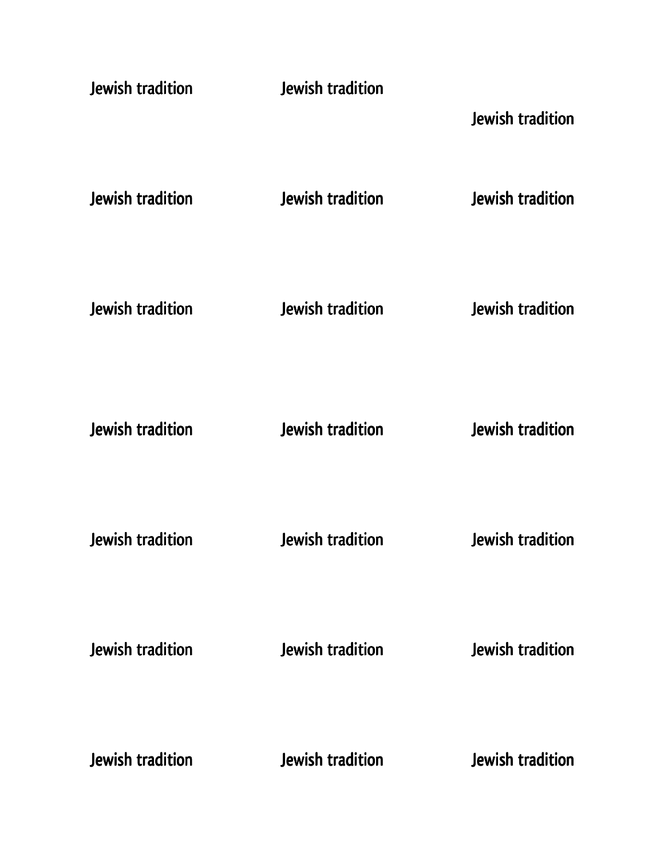| Jewish tradition        | Jewish tradition        | Jewish tradition        |
|-------------------------|-------------------------|-------------------------|
| Jewish tradition        | <b>Jewish tradition</b> | Jewish tradition        |
| Jewish tradition        | <b>Jewish tradition</b> | <b>Jewish tradition</b> |
| Jewish tradition        | <b>Jewish tradition</b> | Jewish tradition        |
| Jewish tradition        | Jewish tradition        | <b>Jewish tradition</b> |
| <b>Jewish tradition</b> | Jewish tradition        | Jewish tradition        |
| Jewish tradition        | Jewish tradition        | Jewish tradition        |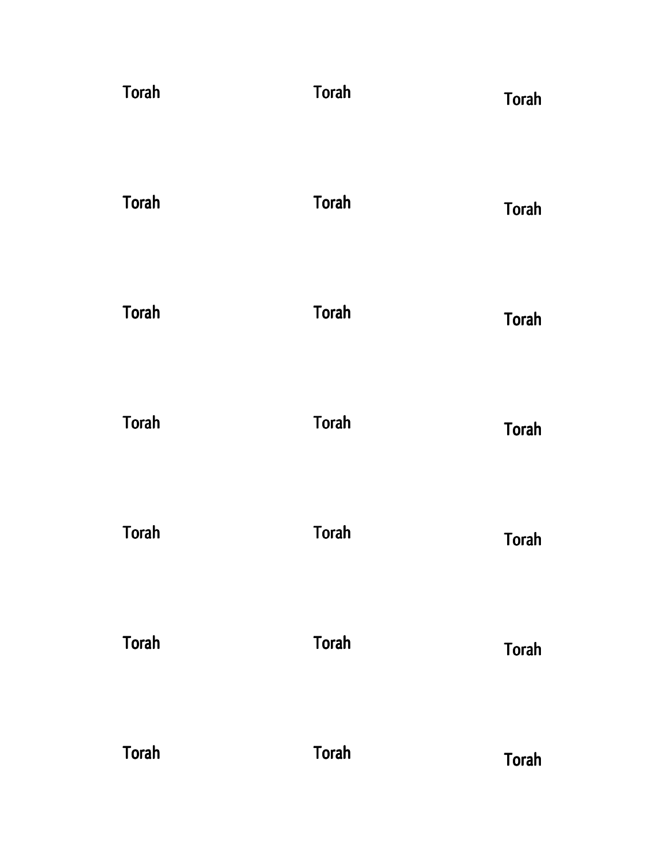| <b>Torah</b> | <b>Torah</b> | Torah        |
|--------------|--------------|--------------|
| <b>Torah</b> | <b>Torah</b> | <b>Torah</b> |
| <b>Torah</b> | <b>Torah</b> | <b>Torah</b> |
| <b>Torah</b> | <b>Torah</b> | <b>Torah</b> |
| <b>Torah</b> | <b>Torah</b> | <b>Torah</b> |
| <b>Torah</b> | <b>Torah</b> | <b>Torah</b> |
| <b>Torah</b> | <b>Torah</b> | Torah        |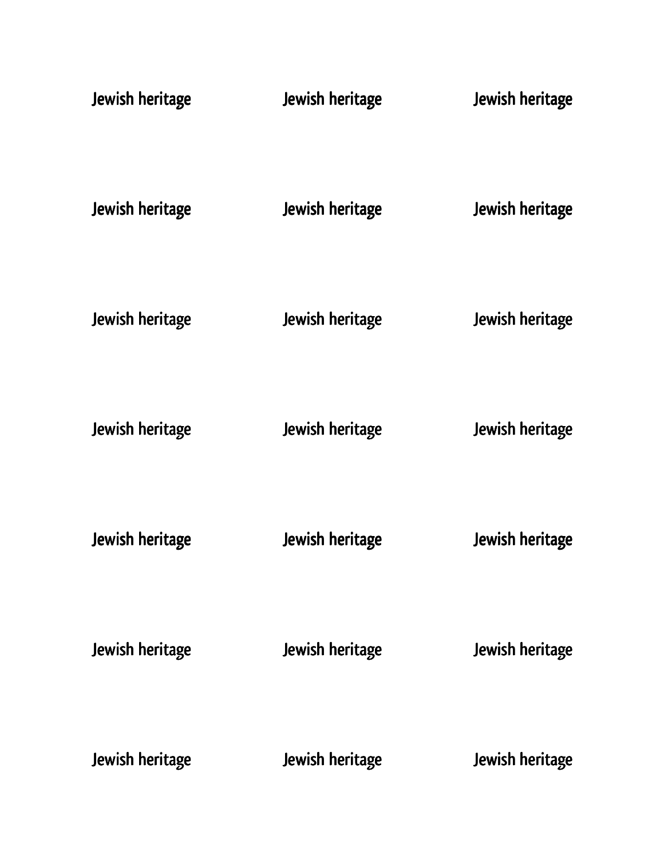| Jewish heritage | Jewish heritage        | Jewish heritage |
|-----------------|------------------------|-----------------|
| Jewish heritage | <b>Jewish heritage</b> | Jewish heritage |
| Jewish heritage | Jewish heritage        | Jewish heritage |
| Jewish heritage | Jewish heritage        | Jewish heritage |
| Jewish heritage | Jewish heritage        | Jewish heritage |
| Jewish heritage | Jewish heritage        | Jewish heritage |
| Jewish heritage | Jewish heritage        | Jewish heritage |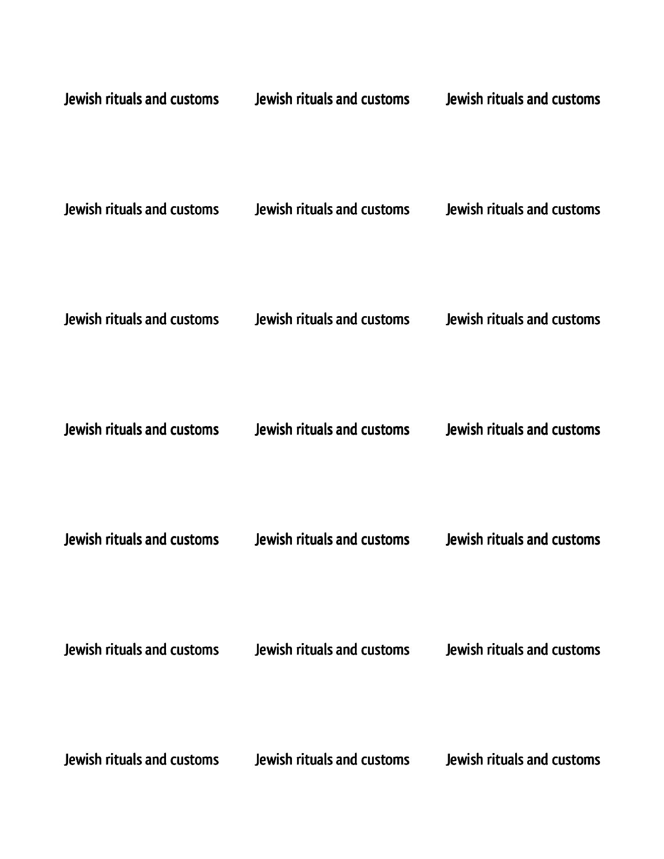| Jewish rituals and customs | Jewish rituals and customs | Jewish rituals and customs |
|----------------------------|----------------------------|----------------------------|
| Jewish rituals and customs | Jewish rituals and customs | Jewish rituals and customs |
| Jewish rituals and customs | Jewish rituals and customs | Jewish rituals and customs |
| Jewish rituals and customs | Jewish rituals and customs | Jewish rituals and customs |
| Jewish rituals and customs | Jewish rituals and customs | Jewish rituals and customs |
| Jewish rituals and customs | Jewish rituals and customs | Jewish rituals and customs |
| Jewish rituals and customs | Jewish rituals and customs | Jewish rituals and customs |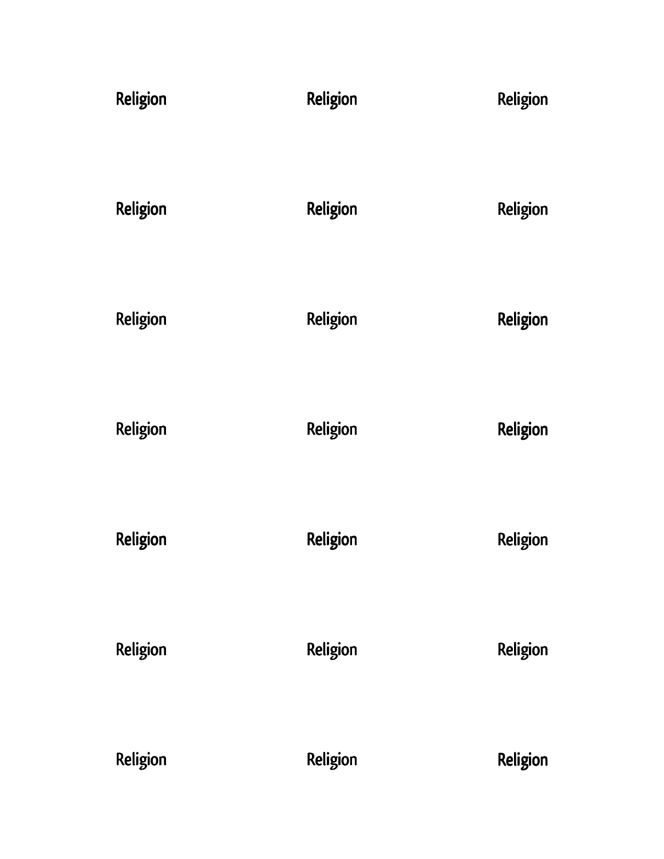| Religion | Religion | Religion |
|----------|----------|----------|
| Religion | Religion | Religion |
| Religion | Religion | Religion |
| Religion | Religion | Religion |
| Religion | Religion | Religion |
| Religion | Religion | Religion |
| Religion | Religion | Religion |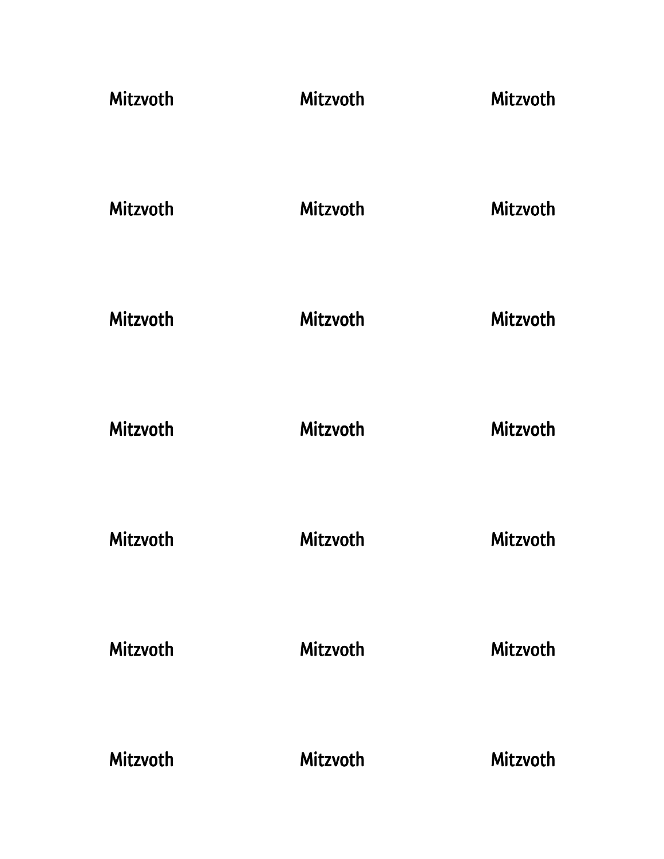| <b>Mitzvoth</b> | <b>Mitzvoth</b> | Mitzvoth |
|-----------------|-----------------|----------|
| <b>Mitzvoth</b> | Mitzvoth        | Mitzvoth |
| Mitzvoth        | <b>Mitzvoth</b> | Mitzvoth |
| <b>Mitzvoth</b> | <b>Mitzvoth</b> | Mitzvoth |
| Mitzvoth        | Mitzvoth        | Mitzvoth |
| <b>Mitzvoth</b> | <b>Mitzvoth</b> | Mitzvoth |
| Mitzvoth        | <b>Mitzvoth</b> | Mitzvoth |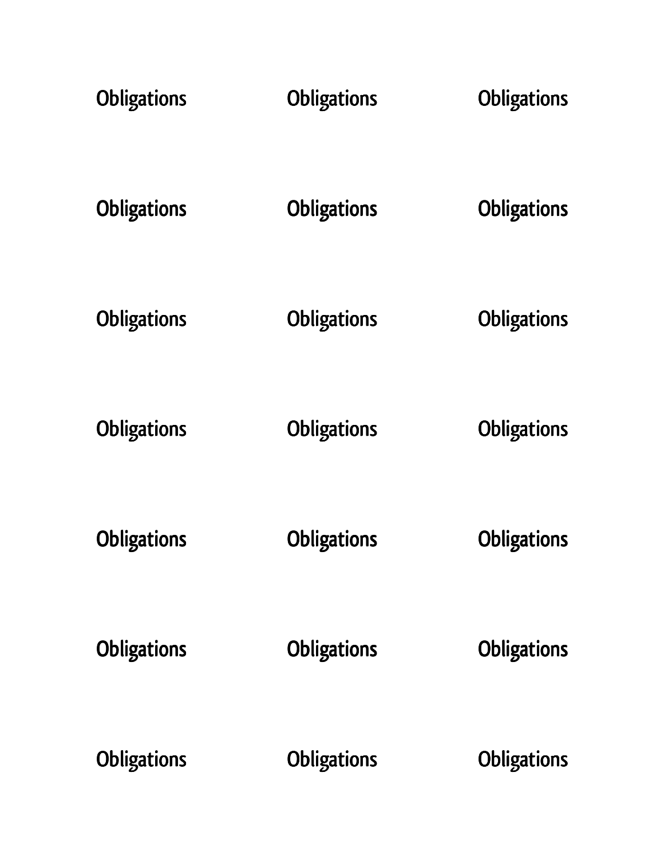| <b>Obligations</b> | <b>Obligations</b> | <b>Obligations</b> |
|--------------------|--------------------|--------------------|
| <b>Obligations</b> | <b>Obligations</b> | Obligations        |
| <b>Obligations</b> | <b>Obligations</b> | <b>Obligations</b> |
| <b>Obligations</b> | <b>Obligations</b> | <b>Obligations</b> |
| <b>Obligations</b> | <b>Obligations</b> | <b>Obligations</b> |
| <b>Obligations</b> | <b>Obligations</b> | <b>Obligations</b> |
| <b>Obligations</b> | <b>Obligations</b> | <b>Obligations</b> |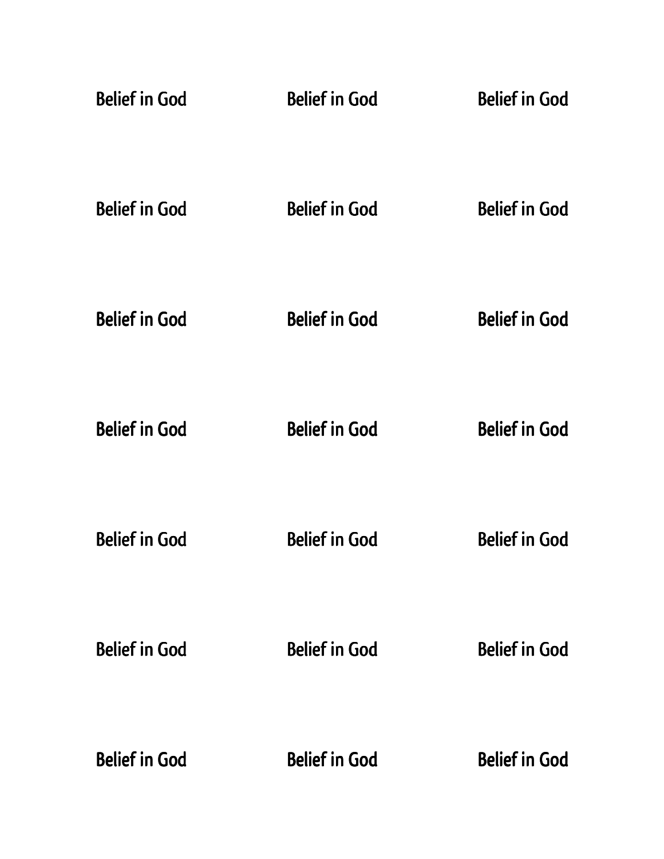| <b>Belief in God</b> | <b>Belief in God</b> | <b>Belief in God</b> |
|----------------------|----------------------|----------------------|
| <b>Belief in God</b> | <b>Belief in God</b> | <b>Belief in God</b> |
| <b>Belief in God</b> | <b>Belief in God</b> | <b>Belief in God</b> |
| <b>Belief in God</b> | <b>Belief in God</b> | <b>Belief in God</b> |
| <b>Belief in God</b> | <b>Belief in God</b> | <b>Belief in God</b> |
| <b>Belief in God</b> | <b>Belief in God</b> | <b>Belief in God</b> |
| <b>Belief in God</b> | <b>Belief in God</b> | <b>Belief in God</b> |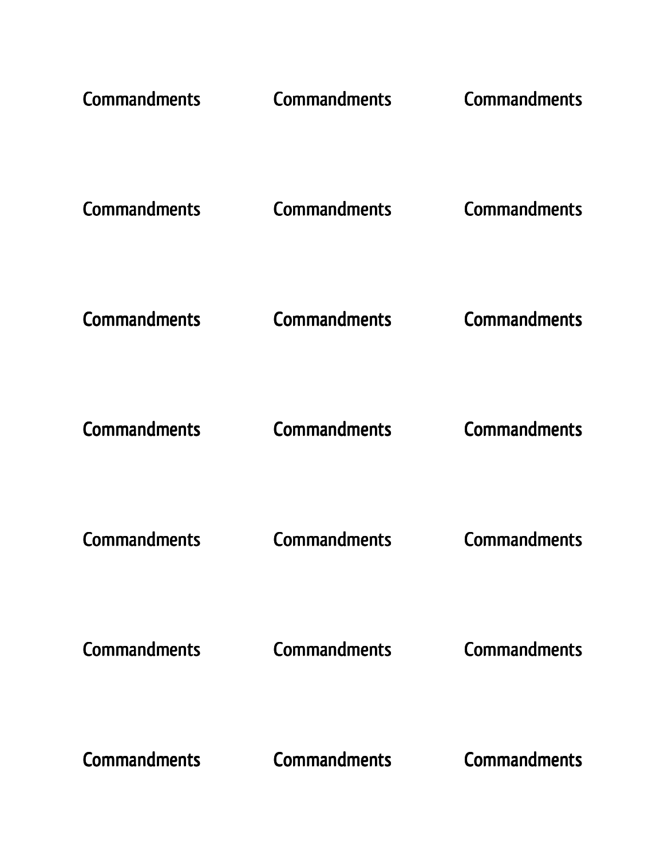| <b>Commandments</b> | <b>Commandments</b> | <b>Commandments</b> |
|---------------------|---------------------|---------------------|
| <b>Commandments</b> | <b>Commandments</b> | <b>Commandments</b> |
| <b>Commandments</b> | <b>Commandments</b> | <b>Commandments</b> |
| <b>Commandments</b> | <b>Commandments</b> | <b>Commandments</b> |
| <b>Commandments</b> | <b>Commandments</b> | <b>Commandments</b> |
| <b>Commandments</b> | <b>Commandments</b> | <b>Commandments</b> |
| <b>Commandments</b> | <b>Commandments</b> | <b>Commandments</b> |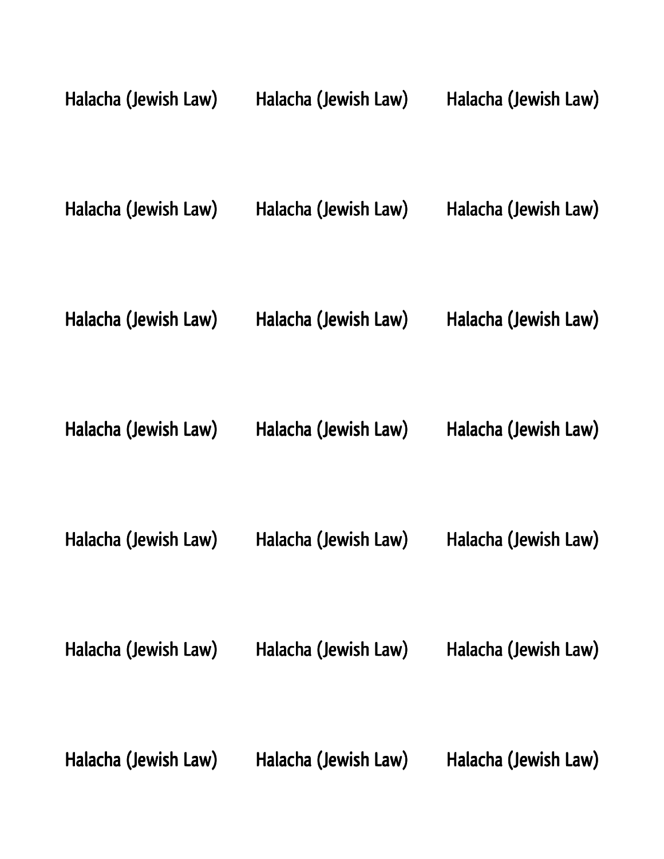| Halacha (Jewish Law) | Halacha (Jewish Law) | Halacha (Jewish Law) |
|----------------------|----------------------|----------------------|
| Halacha (Jewish Law) | Halacha (Jewish Law) | Halacha (Jewish Law) |
| Halacha (Jewish Law) | Halacha (Jewish Law) | Halacha (Jewish Law) |
| Halacha (Jewish Law) | Halacha (Jewish Law) | Halacha (Jewish Law) |
| Halacha (Jewish Law) | Halacha (Jewish Law) | Halacha (Jewish Law) |
| Halacha (Jewish Law) | Halacha (Jewish Law) | Halacha (Jewish Law) |
| Halacha (Jewish Law) | Halacha (Jewish Law) | Halacha (Jewish Law) |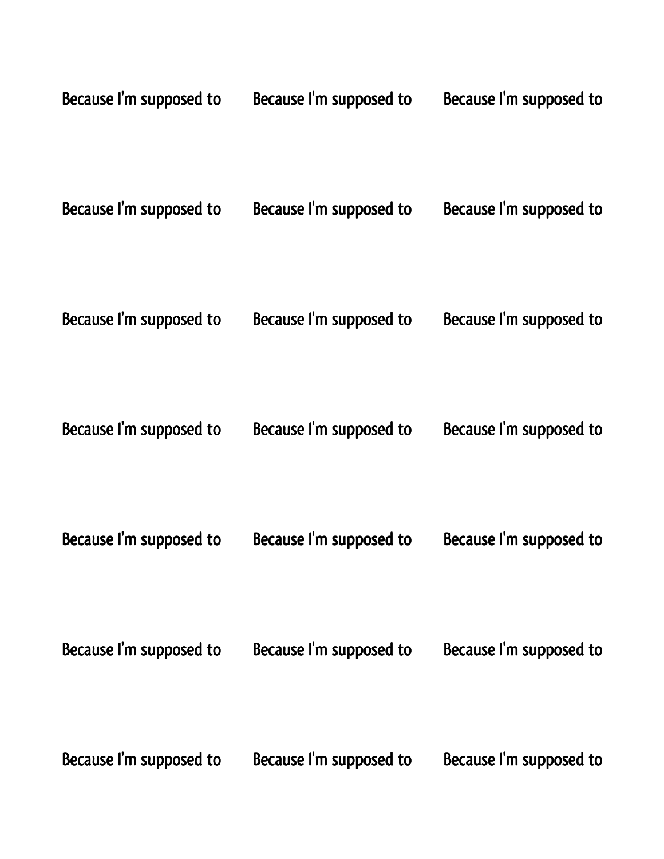| Because I'm supposed to | Because I'm supposed to | Because I'm supposed to |
|-------------------------|-------------------------|-------------------------|
| Because I'm supposed to | Because I'm supposed to | Because I'm supposed to |
| Because I'm supposed to | Because I'm supposed to | Because I'm supposed to |
| Because I'm supposed to | Because I'm supposed to | Because I'm supposed to |
| Because I'm supposed to | Because I'm supposed to | Because I'm supposed to |
| Because I'm supposed to | Because I'm supposed to | Because I'm supposed to |
| Because I'm supposed to | Because I'm supposed to | Because I'm supposed to |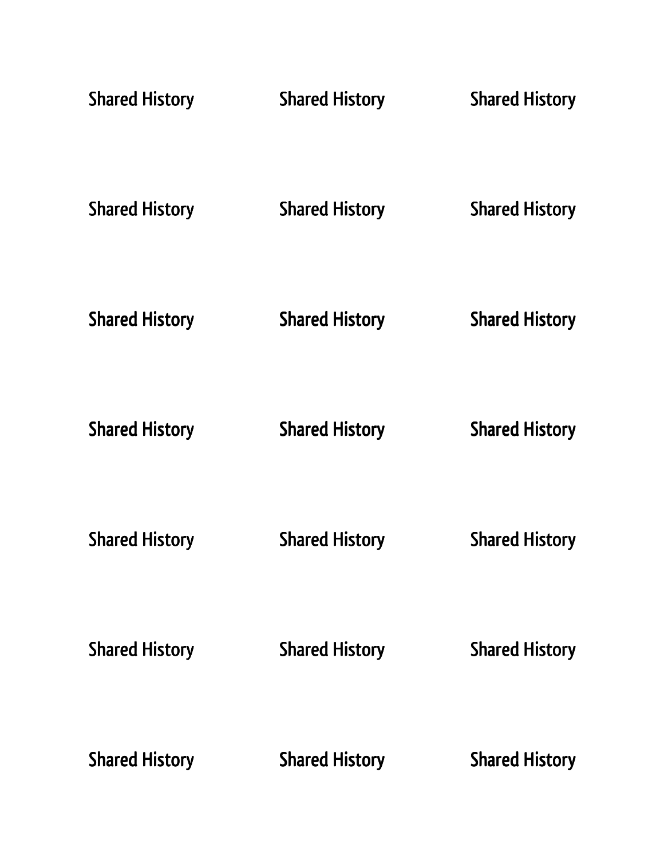| <b>Shared History</b> | <b>Shared History</b> | <b>Shared History</b> |
|-----------------------|-----------------------|-----------------------|
| <b>Shared History</b> | <b>Shared History</b> | <b>Shared History</b> |
| <b>Shared History</b> | <b>Shared History</b> | <b>Shared History</b> |
| <b>Shared History</b> | <b>Shared History</b> | <b>Shared History</b> |
| <b>Shared History</b> | <b>Shared History</b> | <b>Shared History</b> |
| <b>Shared History</b> | <b>Shared History</b> | <b>Shared History</b> |
| <b>Shared History</b> | <b>Shared History</b> | <b>Shared History</b> |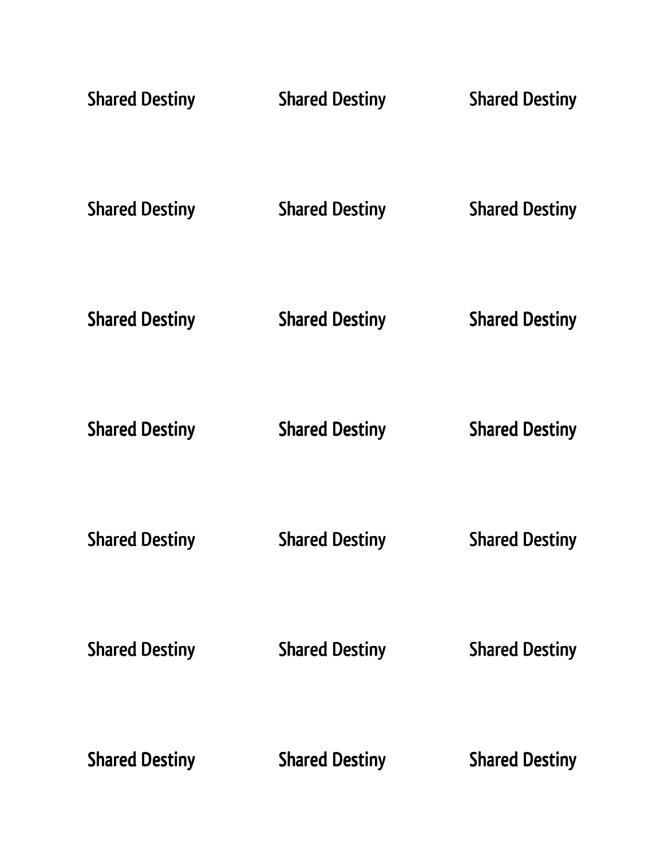| <b>Shared Destiny</b> | <b>Shared Destiny</b> | <b>Shared Destiny</b> |
|-----------------------|-----------------------|-----------------------|
| <b>Shared Destiny</b> | <b>Shared Destiny</b> | <b>Shared Destiny</b> |
| <b>Shared Destiny</b> | <b>Shared Destiny</b> | <b>Shared Destiny</b> |
| <b>Shared Destiny</b> | <b>Shared Destiny</b> | <b>Shared Destiny</b> |
| <b>Shared Destiny</b> | <b>Shared Destiny</b> | <b>Shared Destiny</b> |
| <b>Shared Destiny</b> | <b>Shared Destiny</b> | <b>Shared Destiny</b> |
| <b>Shared Destiny</b> | <b>Shared Destiny</b> | <b>Shared Destiny</b> |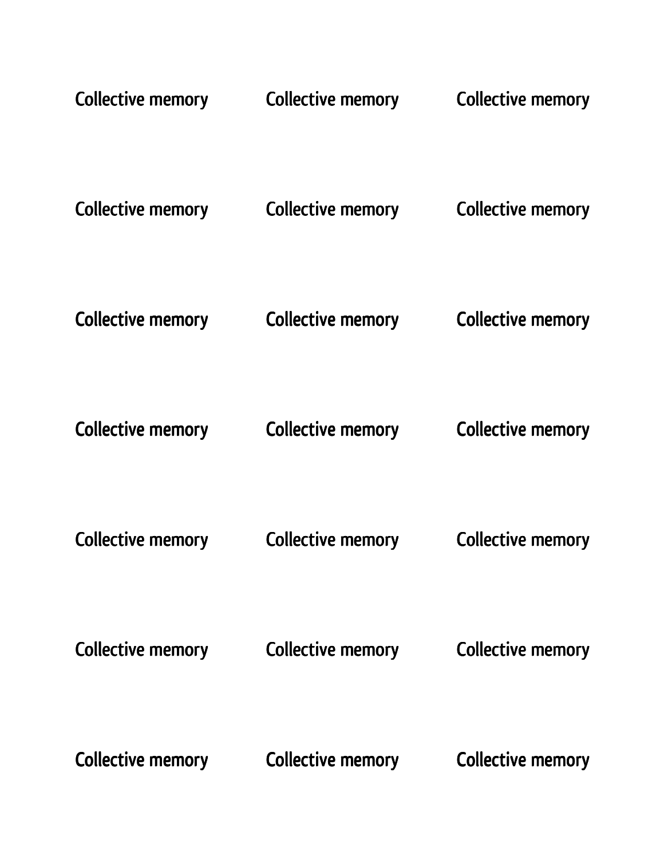| <b>Collective memory</b> | <b>Collective memory</b> | <b>Collective memory</b> |
|--------------------------|--------------------------|--------------------------|
| Collective memory        | Collective memory        | <b>Collective memory</b> |
| <b>Collective memory</b> | <b>Collective memory</b> | <b>Collective memory</b> |
| <b>Collective memory</b> | <b>Collective memory</b> | <b>Collective memory</b> |
| <b>Collective memory</b> | <b>Collective memory</b> | <b>Collective memory</b> |
| <b>Collective memory</b> | <b>Collective memory</b> | <b>Collective memory</b> |
| <b>Collective memory</b> | <b>Collective memory</b> | <b>Collective memory</b> |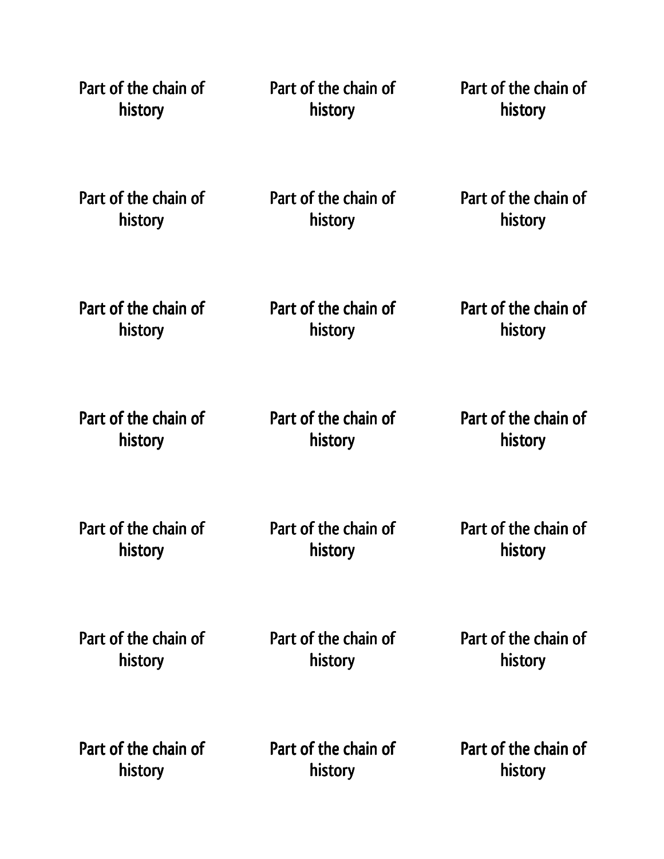| Part of the chain of | Part of the chain of | Part of the chain of |
|----------------------|----------------------|----------------------|
| history              | history              | history              |
| Part of the chain of | Part of the chain of | Part of the chain of |
| history              | history              | history              |
| Part of the chain of | Part of the chain of | Part of the chain of |
| history              | history              | history              |
| Part of the chain of | Part of the chain of | Part of the chain of |
| history              | history              | history              |
| Part of the chain of | Part of the chain of | Part of the chain of |
| history              | history              | history              |
| Part of the chain of | Part of the chain of | Part of the chain of |
| history              | history              | history              |
| Part of the chain of | Part of the chain of | Part of the chain of |
| history              | history              | history              |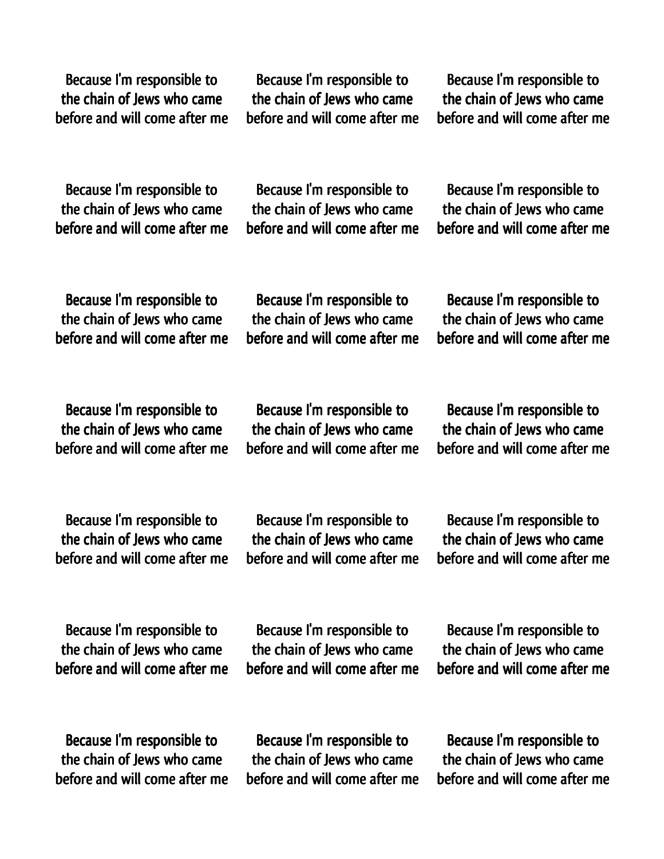Because I'm responsible to the chain of Jews who came before and will come after me

Because I'm responsible to the chain of Jews who came before and will come after me

Because I'm responsible to the chain of Jews who came before and will come after me

Because I'm responsible to the chain of Jews who came before and will come after me

Because I'm responsible to the chain of Jews who came before and will come after me

Because I'm responsible to the chain of Jews who came before and will come after me

Because I'm responsible to the chain of Jews who came before and will come after me

Because I'm responsible to the chain of Jews who came before and will come after me

Because I'm responsible to the chain of Jews who came before and will come after me

Because I'm responsible to the chain of Jews who came before and will come after me

Because I'm responsible to the chain of Jews who came before and will come after me

Because I'm responsible to the chain of Jews who came before and will come after me

Because I'm responsible to the chain of Jews who came before and will come after me

Because I'm responsible to the chain of Jews who came before and will come after me

Because I'm responsible to the chain of Jews who came before and will come after me

Because I'm responsible to the chain of Jews who came before and will come after me

Because I'm responsible to the chain of Jews who came before and will come after me

Because I'm responsible to the chain of Jews who came before and will come after me

Because I'm responsible to the chain of Jews who came before and will come after me

Because I'm responsible to the chain of Jews who came before and will come after me

Because I'm responsible to the chain of Jews who came before and will come after me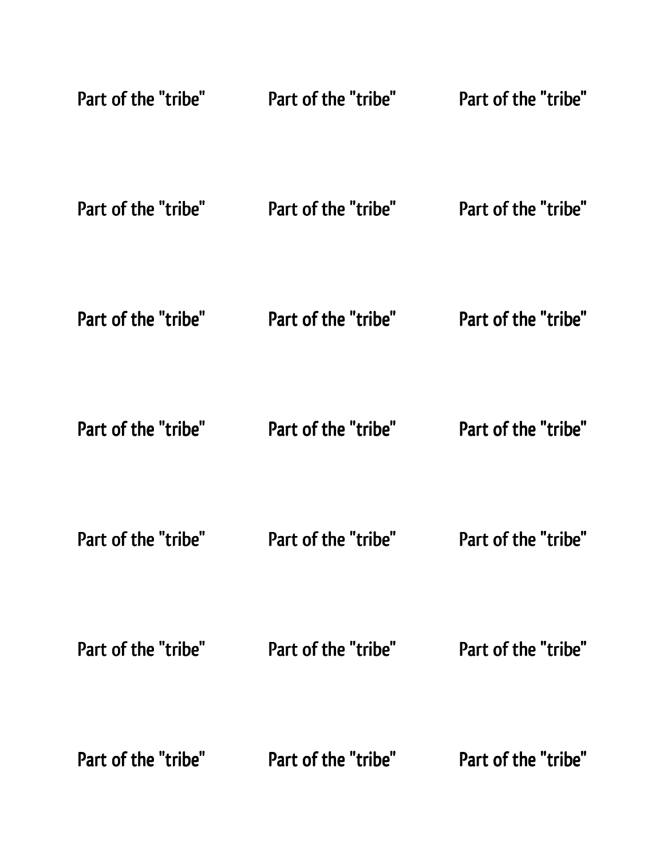| Part of the "tribe" | Part of the "tribe" | Part of the "tribe" |
|---------------------|---------------------|---------------------|
| Part of the "tribe" | Part of the "tribe" | Part of the "tribe" |
| Part of the "tribe" | Part of the "tribe" | Part of the "tribe" |
| Part of the "tribe" | Part of the "tribe" | Part of the "tribe" |
| Part of the "tribe" | Part of the "tribe" | Part of the "tribe" |
| Part of the "tribe" | Part of the "tribe" | Part of the "tribe" |
| Part of the "tribe" | Part of the "tribe" | Part of the "tribe" |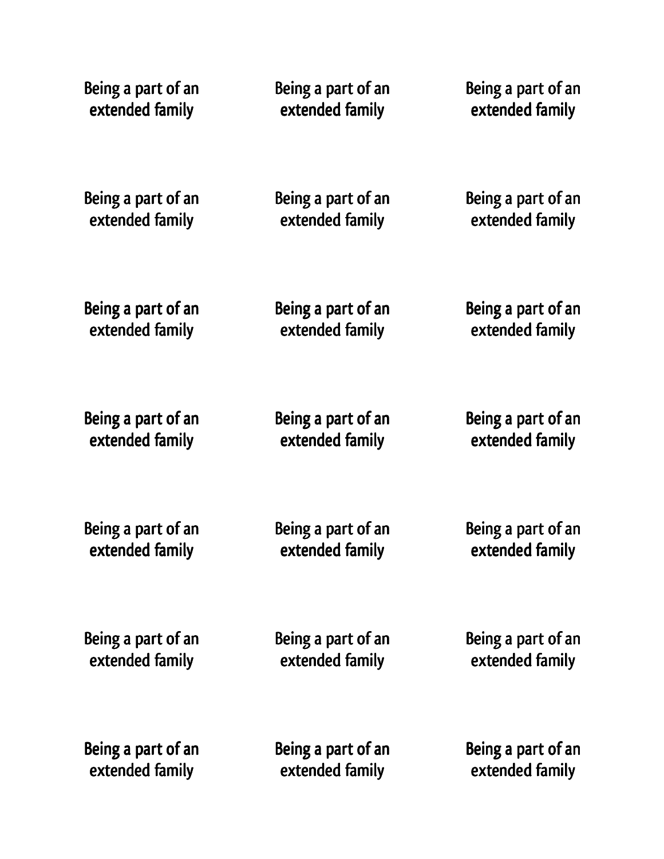Being a part of an extended family Being a part of an extended family Being a part of an extended family Being a part of an extended family Being a part of an extended family Being a part of an extended family Being a part of an extended family Being a part of an extended family Being a part of an extended family Being a part of an extended family Being a part of an extended family Being a part of an extended family Being a part of an extended family Being a part of an extended family Being a part of an extended family Being a part of an extended family Being a part of an extended family Being a part of an extended family Being a part of an extended family Being a part of an extended family Being a part of an extended family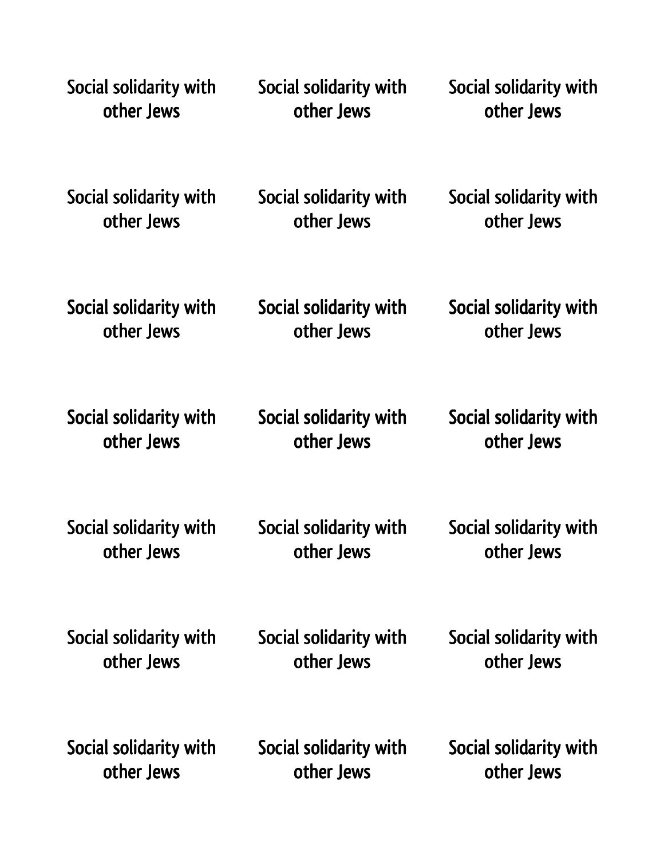| Social solidarity with | Social solidarity with | Social solidarity with |
|------------------------|------------------------|------------------------|
| other Jews             | other Jews             | other Jews             |
| Social solidarity with | Social solidarity with | Social solidarity with |
| other Jews             | other Jews             | other Jews             |
| Social solidarity with | Social solidarity with | Social solidarity with |
| other Jews             | other Jews             | other Jews             |
| Social solidarity with | Social solidarity with | Social solidarity with |
| other Jews             | other Jews             | other Jews             |
| Social solidarity with | Social solidarity with | Social solidarity with |
| other Jews             | other Jews             | other Jews             |
| Social solidarity with | Social solidarity with | Social solidarity with |
| other Jews             | other Jews             | other Jews             |
| Social solidarity with | Social solidarity with | Social solidarity with |
| other Jews             | other Jews             | other Jews             |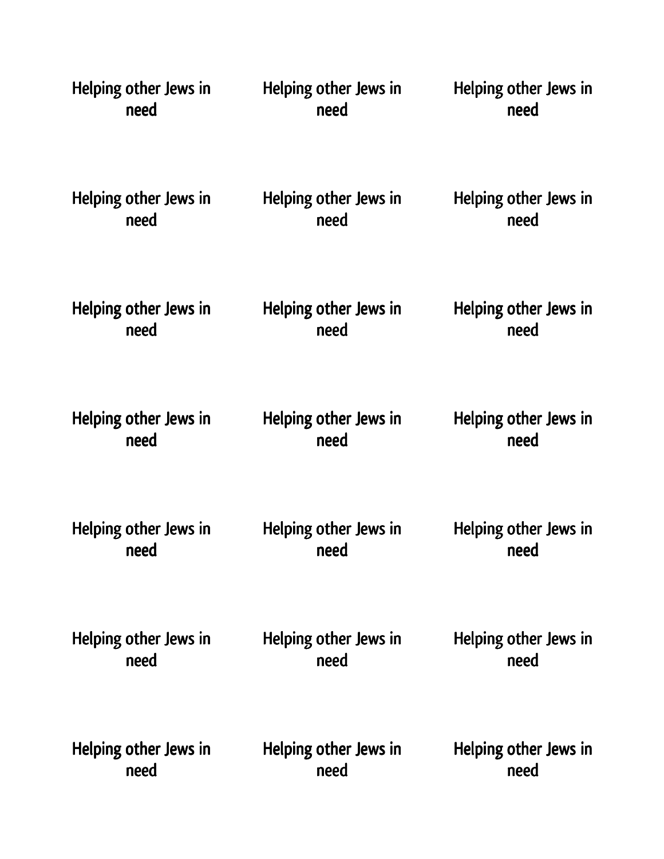| Helping other Jews in<br>need |  | Helping other Jews in<br>need | Helping other Jews in<br>need |
|-------------------------------|--|-------------------------------|-------------------------------|
| Helping other Jews in<br>need |  | Helping other Jews in<br>need | Helping other Jews in<br>need |
| Helping other Jews in<br>need |  | Helping other Jews in<br>need | Helping other Jews in<br>need |
| Helping other Jews in<br>need |  | Helping other Jews in<br>need | Helping other Jews in<br>need |
| Helping other Jews in<br>need |  | Helping other Jews in<br>need | Helping other Jews in<br>need |
| Helping other Jews in<br>need |  | Helping other Jews in<br>need | Helping other Jews in<br>need |
| Helping other Jews in<br>need |  | Helping other Jews in<br>need | Helping other Jews in<br>need |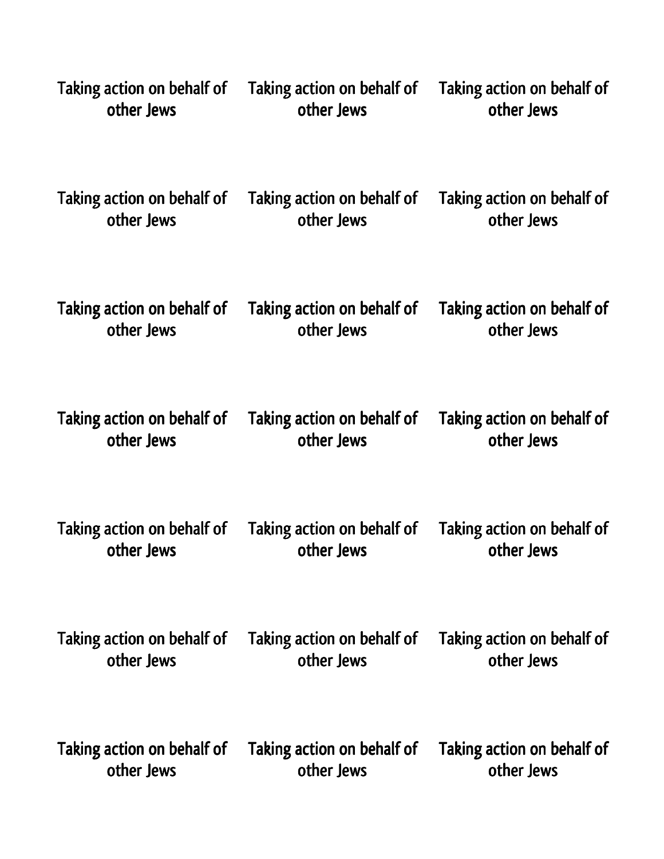| Taking action on behalf of | Taking action on behalf of | Taking action on behalf of |
|----------------------------|----------------------------|----------------------------|
| other Jews                 | other Jews                 | other Jews                 |
| Taking action on behalf of | Taking action on behalf of | Taking action on behalf of |
| other Jews                 | other Jews                 | other Jews                 |
| Taking action on behalf of | Taking action on behalf of | Taking action on behalf of |
| other Jews                 | other Jews                 | other Jews                 |
| Taking action on behalf of | Taking action on behalf of | Taking action on behalf of |
| other Jews                 | other Jews                 | other Jews                 |
| Taking action on behalf of | Taking action on behalf of | Taking action on behalf of |
| other Jews                 | other Jews                 | other Jews                 |
| Taking action on behalf of | Taking action on behalf of | Taking action on behalf of |
| other Jews                 | other Jews                 | other Jews                 |
| Taking action on behalf of | Taking action on behalf of | Taking action on behalf of |
| other Jews                 | other Jews                 | other Jews                 |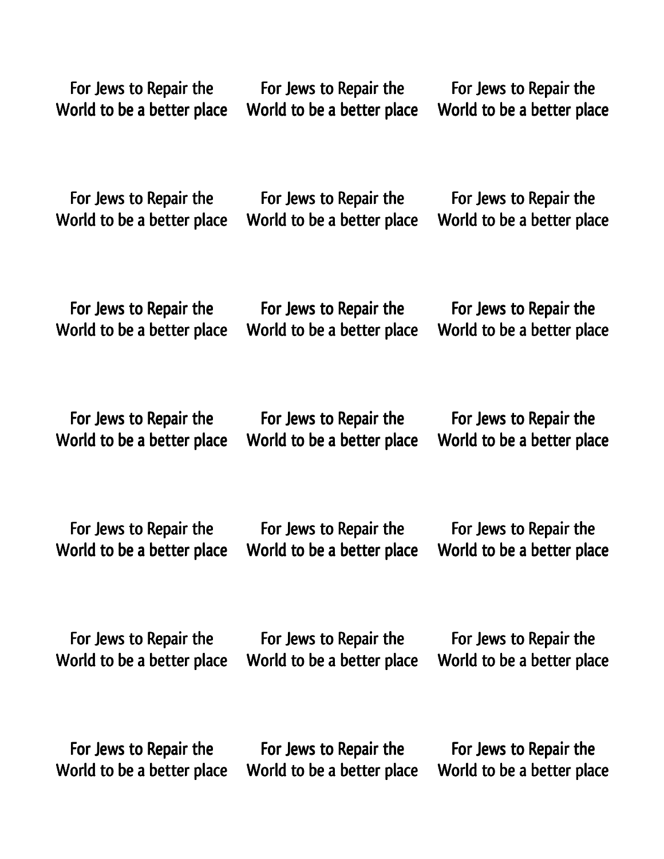| For Jews to Repair the     | For Jews to Repair the     | For Jews to Repair the     |
|----------------------------|----------------------------|----------------------------|
| World to be a better place | World to be a better place | World to be a better place |
| For Jews to Repair the     | For Jews to Repair the     | For Jews to Repair the     |
| World to be a better place | World to be a better place | World to be a better place |
| For Jews to Repair the     | For Jews to Repair the     | For Jews to Repair the     |
| World to be a better place | World to be a better place | World to be a better place |
| For Jews to Repair the     | For Jews to Repair the     | For Jews to Repair the     |
| World to be a better place | World to be a better place | World to be a better place |
| For Jews to Repair the     | For Jews to Repair the     | For Jews to Repair the     |
| World to be a better place | World to be a better place | World to be a better place |
| For Jews to Repair the     | For Jews to Repair the     | For Jews to Repair the     |
| World to be a better place | World to be a better place | World to be a better place |
| For Jews to Repair the     | For Jews to Repair the     | For Jews to Repair the     |
| World to be a better place | World to be a better place | World to be a better place |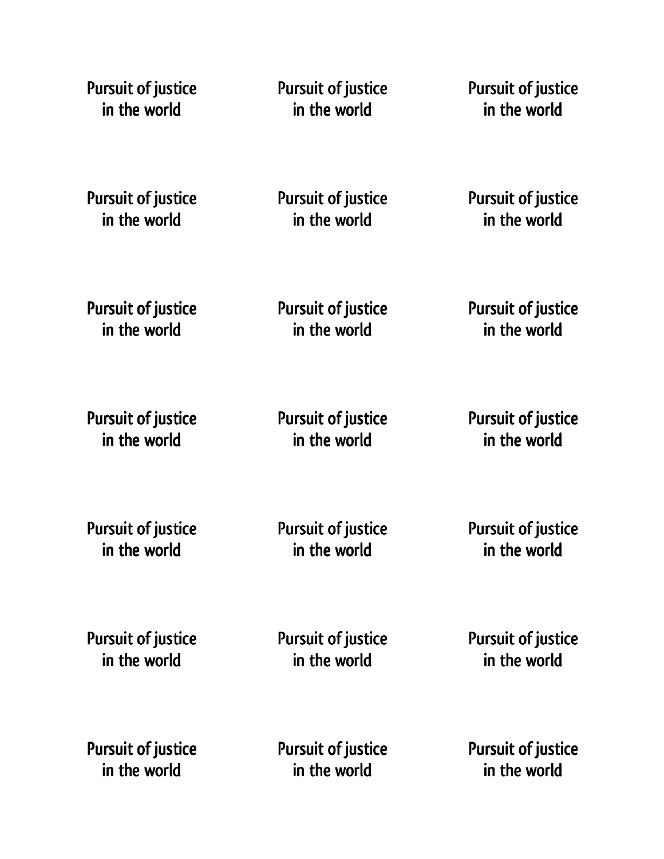Pursuit of justice in the world

Pursuit of justice in the world

Pursuit of justice in the world

Pursuit of justice in the world

Pursuit of justice in the world

Pursuit of justice in the world

Pursuit of justice in the world

Pursuit of justice in the world

Pursuit of justice in the world

Pursuit of justice in the world

Pursuit of justice in the world

Pursuit of justice in the world

Pursuit of justice in the world

Pursuit of justice in the world

Pursuit of justice in the world

Pursuit of justice in the world

Pursuit of justice in the world

Pursuit of justice in the world

Pursuit of justice in the world

Pursuit of justice in the world

Pursuit of justice in the world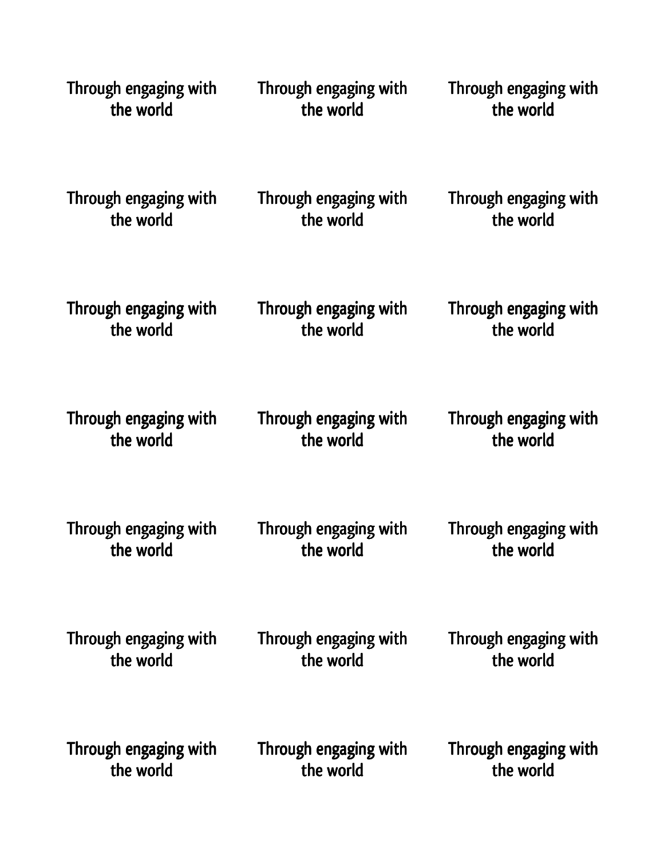| Through engaging with | Through engaging with | Through engaging with |
|-----------------------|-----------------------|-----------------------|
| the world             | the world             | the world             |
| Through engaging with | Through engaging with | Through engaging with |
| the world             | the world             | the world             |
| Through engaging with | Through engaging with | Through engaging with |
| the world             | the world             | the world             |
| Through engaging with | Through engaging with | Through engaging with |
| the world             | the world             | the world             |
| Through engaging with | Through engaging with | Through engaging with |
| the world             | the world             | the world             |
| Through engaging with | Through engaging with | Through engaging with |
| the world             | the world             | the world             |
| Through engaging with | Through engaging with | Through engaging with |
| the world             | the world             | the world             |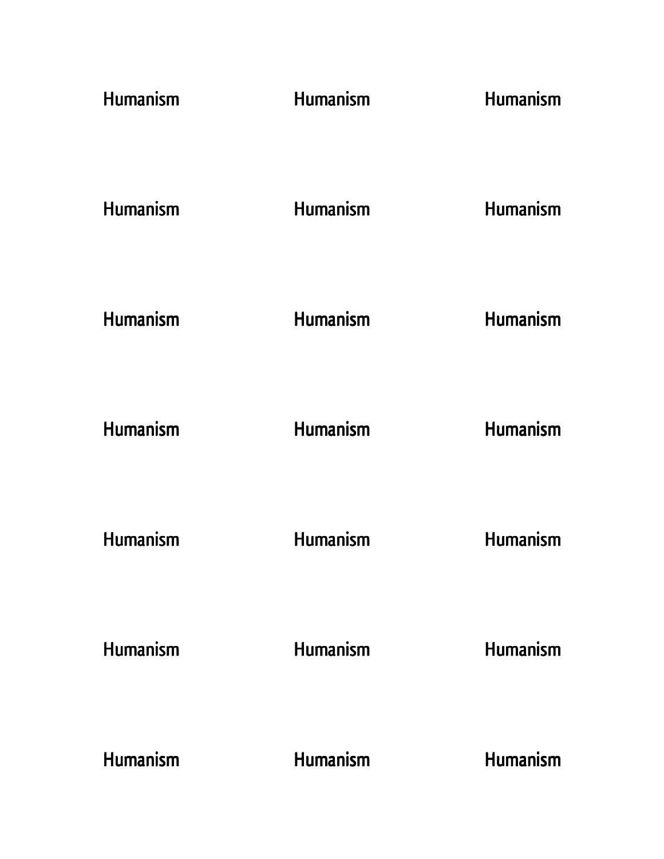| Humanism        | <b>Humanism</b> | <b>Humanism</b> |
|-----------------|-----------------|-----------------|
| <b>Humanism</b> | <b>Humanism</b> | Humanism        |
| <b>Humanism</b> | Humanism        | <b>Humanism</b> |
| <b>Humanism</b> | Humanism        | Humanism        |
| <b>Humanism</b> | Humanism        | <b>Humanism</b> |
| <b>Humanism</b> | <b>Humanism</b> | <b>Humanism</b> |
| <b>Humanism</b> | Humanism        | <b>Humanism</b> |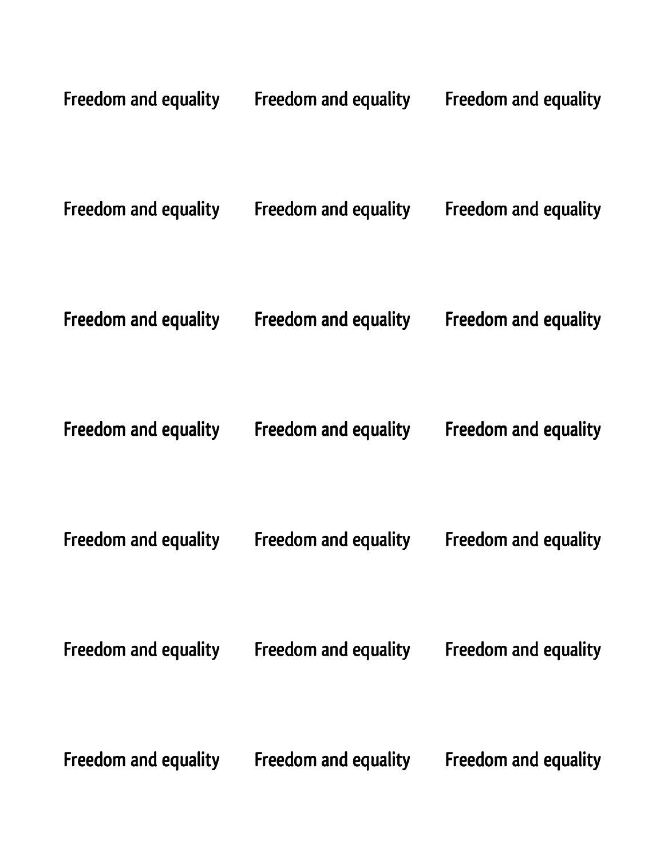| Freedom and equality | Freedom and equality | Freedom and equality |
|----------------------|----------------------|----------------------|
| Freedom and equality | Freedom and equality | Freedom and equality |
| Freedom and equality | Freedom and equality | Freedom and equality |
| Freedom and equality | Freedom and equality | Freedom and equality |
| Freedom and equality | Freedom and equality | Freedom and equality |
| Freedom and equality | Freedom and equality | Freedom and equality |
| Freedom and equality | Freedom and equality | Freedom and equality |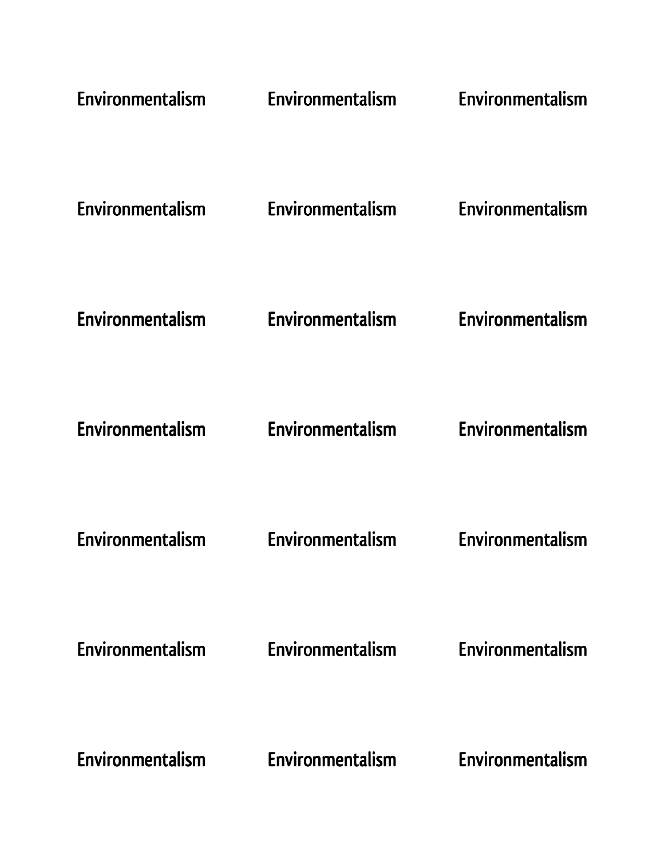| Environmentalism | Environmentalism | Environmentalism |
|------------------|------------------|------------------|
| Environmentalism | Environmentalism | Environmentalism |
| Environmentalism | Environmentalism | Environmentalism |
| Environmentalism | Environmentalism | Environmentalism |
| Environmentalism | Environmentalism | Environmentalism |
| Environmentalism | Environmentalism | Environmentalism |
| Environmentalism | Environmentalism | Environmentalism |